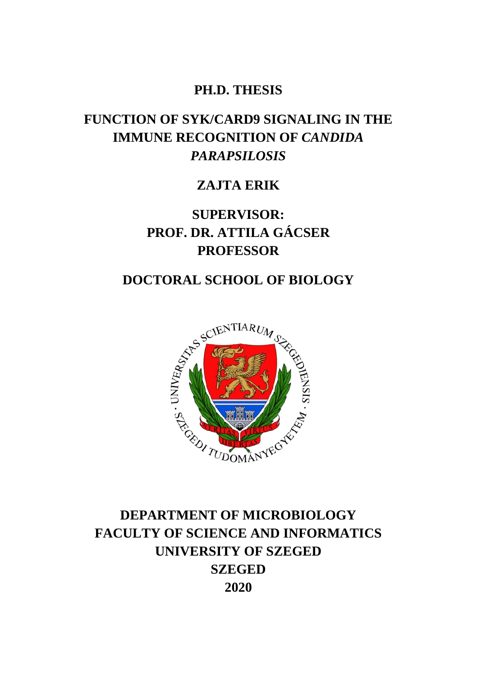### **PH.D. THESIS**

## **FUNCTION OF SYK/CARD9 SIGNALING IN THE IMMUNE RECOGNITION OF** *CANDIDA PARAPSILOSIS*

### **ZAJTA ERIK**

**SUPERVISOR: PROF. DR. ATTILA GÁCSER PROFESSOR**



## **DEPARTMENT OF MICROBIOLOGY FACULTY OF SCIENCE AND INFORMATICS UNIVERSITY OF SZEGED SZEGED 2020**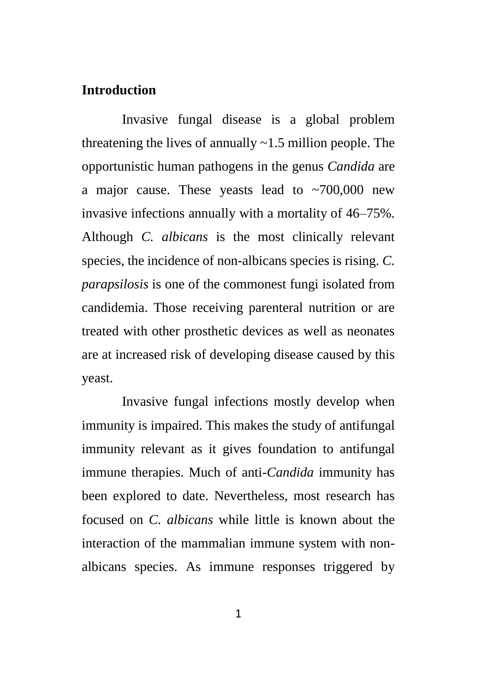#### **Introduction**

Invasive fungal disease is a global problem threatening the lives of annually  $\sim$ 1.5 million people. The opportunistic human pathogens in the genus *Candida* are a major cause. These yeasts lead to  $\sim$  700,000 new invasive infections annually with a mortality of 46–75%. Although *C. albicans* is the most clinically relevant species, the incidence of non-albicans species is rising. *C. parapsilosis* is one of the commonest fungi isolated from candidemia. Those receiving parenteral nutrition or are treated with other prosthetic devices as well as neonates are at increased risk of developing disease caused by this yeast.

Invasive fungal infections mostly develop when immunity is impaired. This makes the study of antifungal immunity relevant as it gives foundation to antifungal immune therapies. Much of anti-*Candida* immunity has been explored to date. Nevertheless, most research has focused on *C. albicans* while little is known about the interaction of the mammalian immune system with nonalbicans species. As immune responses triggered by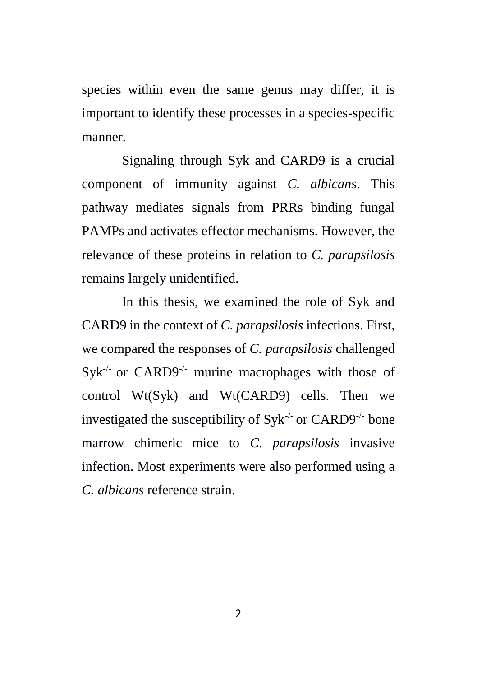species within even the same genus may differ, it is important to identify these processes in a species-specific manner.

Signaling through Syk and CARD9 is a crucial component of immunity against *C. albicans*. This pathway mediates signals from PRRs binding fungal PAMPs and activates effector mechanisms. However, the relevance of these proteins in relation to *C. parapsilosis* remains largely unidentified.

In this thesis, we examined the role of Syk and CARD9 in the context of *C. parapsilosis* infections. First, we compared the responses of *C. parapsilosis* challenged  $Syk^{-/-}$  or CARD9<sup>-/-</sup> murine macrophages with those of control Wt(Syk) and Wt(CARD9) cells. Then we investigated the susceptibility of  $Syk^{-/-}$  or  $CARD9^{-/-}$  bone marrow chimeric mice to *C. parapsilosis* invasive infection. Most experiments were also performed using a *C. albicans* reference strain.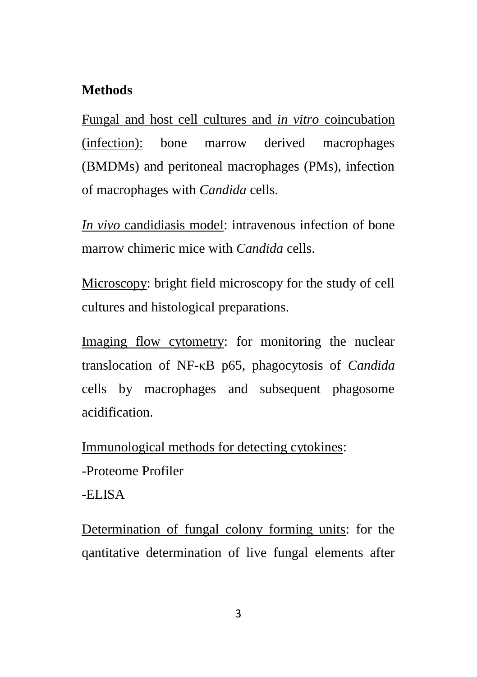### **Methods**

Fungal and host cell cultures and *in vitro* coincubation (infection): bone marrow derived macrophages (BMDMs) and peritoneal macrophages (PMs), infection of macrophages with *Candida* cells.

*In vivo* candidiasis model: intravenous infection of bone marrow chimeric mice with *Candida* cells.

Microscopy: bright field microscopy for the study of cell cultures and histological preparations.

Imaging flow cytometry: for monitoring the nuclear translocation of NF-κB p65, phagocytosis of *Candida* cells by macrophages and subsequent phagosome acidification.

Immunological methods for detecting cytokines:

-Proteome Profiler

-ELISA

Determination of fungal colony forming units: for the qantitative determination of live fungal elements after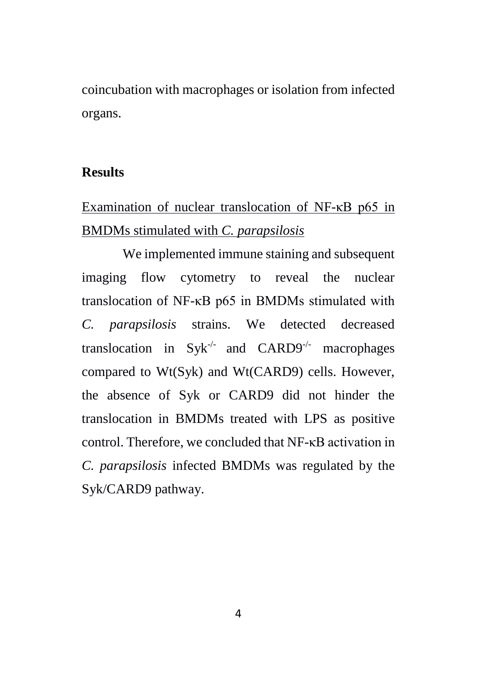coincubation with macrophages or isolation from infected organs.

#### **Results**

# Examination of nuclear translocation of NF-κB p65 in BMDMs stimulated with *C. parapsilosis*

We implemented immune staining and subsequent imaging flow cytometry to reveal the nuclear translocation of NF-κB p65 in BMDMs stimulated with *C. parapsilosis* strains. We detected decreased translocation in Syk<sup>-/-</sup> and CARD9<sup>-/-</sup> macrophages compared to Wt(Syk) and Wt(CARD9) cells. However, the absence of Syk or CARD9 did not hinder the translocation in BMDMs treated with LPS as positive control. Therefore, we concluded that NF-κB activation in *C. parapsilosis* infected BMDMs was regulated by the Syk/CARD9 pathway.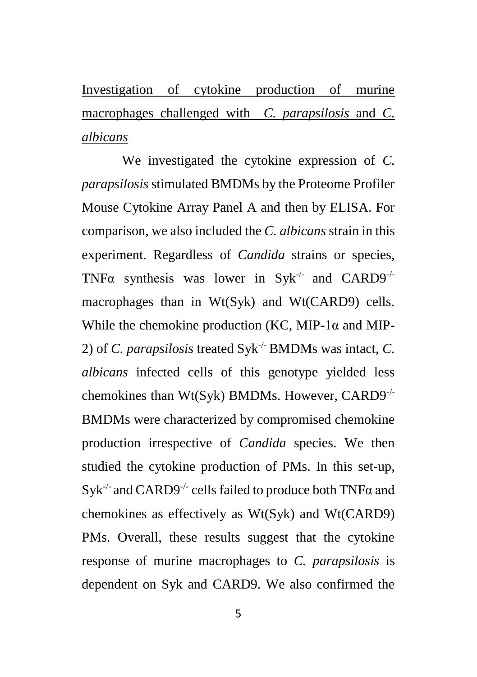Investigation of cytokine production of murine macrophages challenged with *C. parapsilosis* and *C. albicans*

We investigated the cytokine expression of *C. parapsilosis* stimulated BMDMs by the Proteome Profiler Mouse Cytokine Array Panel A and then by ELISA. For comparison, we also included the *C. albicans* strain in this experiment. Regardless of *Candida* strains or species, TNF $\alpha$  synthesis was lower in Syk<sup>-/-</sup> and CARD9<sup>-/-</sup> macrophages than in Wt(Syk) and Wt(CARD9) cells. While the chemokine production (KC, MIP-1 $\alpha$  and MIP-2) of *C. parapsilosis* treated Syk-/- BMDMs was intact, *C. albicans* infected cells of this genotype yielded less chemokines than Wt(Syk) BMDMs. However, CARD9-/- BMDMs were characterized by compromised chemokine production irrespective of *Candida* species. We then studied the cytokine production of PMs. In this set-up, Syk<sup>-/-</sup> and CARD9<sup>-/-</sup> cells failed to produce both TNFα and chemokines as effectively as Wt(Syk) and Wt(CARD9) PMs. Overall, these results suggest that the cytokine response of murine macrophages to *C. parapsilosis* is dependent on Syk and CARD9. We also confirmed the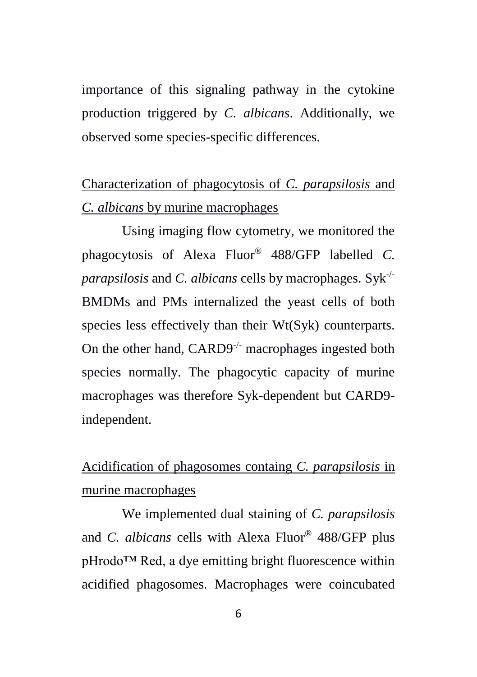importance of this signaling pathway in the cytokine production triggered by *C. albicans*. Additionally, we observed some species-specific differences.

# Characterization of phagocytosis of *C. parapsilosis* and *C. albicans* by murine macrophages

Using imaging flow cytometry, we monitored the phagocytosis of Alexa Fluor® 488/GFP labelled *C. parapsilosis* and *C. albicans* cells by macrophages. Syk-/- BMDMs and PMs internalized the yeast cells of both species less effectively than their Wt(Syk) counterparts. On the other hand, CARD9<sup>-/-</sup> macrophages ingested both species normally. The phagocytic capacity of murine macrophages was therefore Syk-dependent but CARD9 independent.

# Acidification of phagosomes containg *C. parapsilosis* in murine macrophages

We implemented dual staining of *C. parapsilosis* and *C. albicans* cells with Alexa Fluor® 488/GFP plus pHrodo™ Red, a dye emitting bright fluorescence within acidified phagosomes. Macrophages were coincubated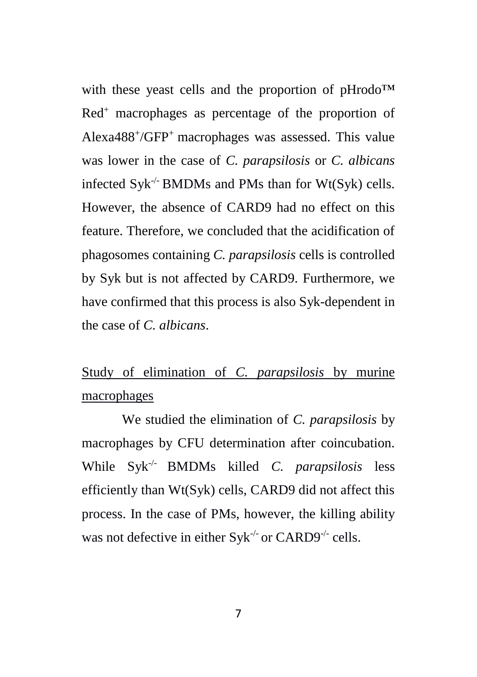with these yeast cells and the proportion of pHrodo™ Red<sup>+</sup> macrophages as percentage of the proportion of Alexa488<sup>+</sup> /GFP<sup>+</sup>macrophages was assessed. This value was lower in the case of *C. parapsilosis* or *C. albicans* infected  $Syk^{-/-}$  BMDMs and PMs than for Wt( $Syk$ ) cells. However, the absence of CARD9 had no effect on this feature. Therefore, we concluded that the acidification of phagosomes containing *C. parapsilosis* cells is controlled by Syk but is not affected by CARD9. Furthermore, we have confirmed that this process is also Syk-dependent in the case of *C. albicans*.

# Study of elimination of *C. parapsilosis* by murine macrophages

We studied the elimination of *C. parapsilosis* by macrophages by CFU determination after coincubation. While Syk-/- BMDMs killed *C. parapsilosis* less efficiently than Wt(Syk) cells, CARD9 did not affect this process. In the case of PMs, however, the killing ability was not defective in either  $Syk^{-/-}$  or CARD9<sup>-/-</sup> cells.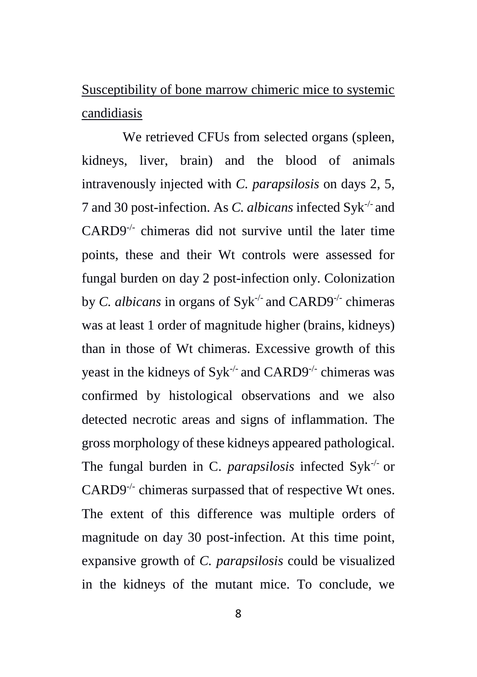Susceptibility of bone marrow chimeric mice to systemic candidiasis

We retrieved CFUs from selected organs (spleen, kidneys, liver, brain) and the blood of animals intravenously injected with *C. parapsilosis* on days 2, 5, 7 and 30 post-infection. As *C. albicans* infected Syk-/- and  $CARD9^{-/-}$  chimeras did not survive until the later time points, these and their Wt controls were assessed for fungal burden on day 2 post-infection only. Colonization by *C. albicans* in organs of Syk<sup>-/-</sup> and CARD9<sup>-/-</sup> chimeras was at least 1 order of magnitude higher (brains, kidneys) than in those of Wt chimeras. Excessive growth of this yeast in the kidneys of Syk<sup>-/-</sup> and CARD9<sup>-/-</sup> chimeras was confirmed by histological observations and we also detected necrotic areas and signs of inflammation. The gross morphology of these kidneys appeared pathological. The fungal burden in C. *parapsilosis* infected Syk-/- or CARD9<sup>-/-</sup> chimeras surpassed that of respective Wt ones. The extent of this difference was multiple orders of magnitude on day 30 post-infection. At this time point, expansive growth of *C. parapsilosis* could be visualized in the kidneys of the mutant mice. To conclude, we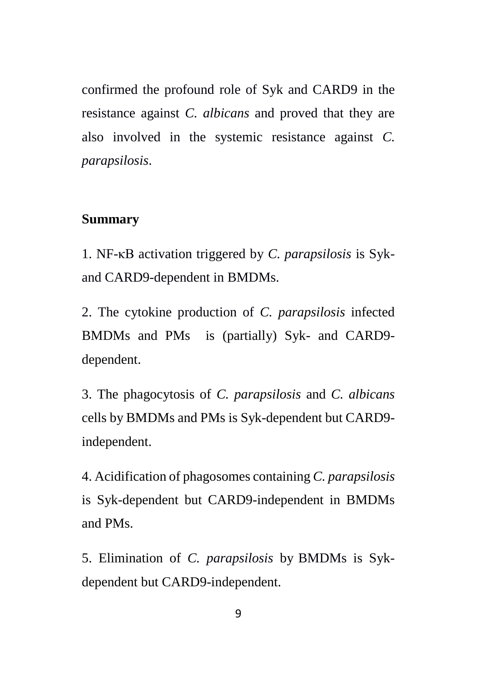confirmed the profound role of Syk and CARD9 in the resistance against *C. albicans* and proved that they are also involved in the systemic resistance against *C. parapsilosis*.

#### **Summary**

1. NF-κB activation triggered by *C. parapsilosis* is Sykand CARD9-dependent in BMDMs.

2. The cytokine production of *C. parapsilosis* infected BMDMs and PMs is (partially) Syk- and CARD9 dependent.

3. The phagocytosis of *C. parapsilosis* and *C. albicans* cells by BMDMs and PMs is Syk-dependent but CARD9 independent.

4. Acidification of phagosomes containing *C. parapsilosis* is Syk-dependent but CARD9-independent in BMDMs and PMs.

5. Elimination of *C. parapsilosis* by BMDMs is Sykdependent but CARD9-independent.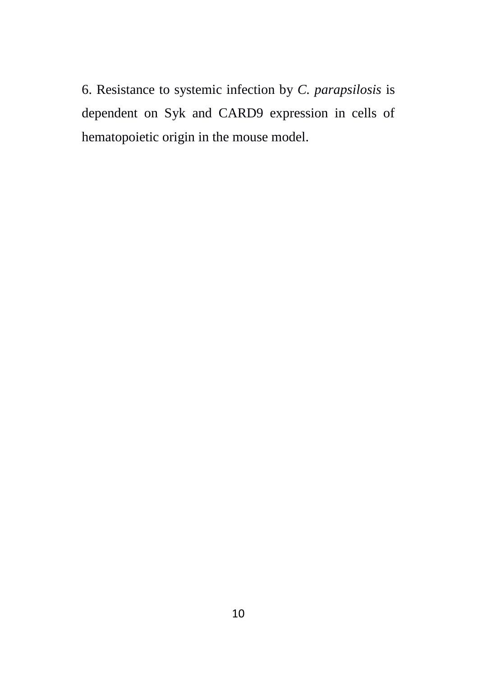6. Resistance to systemic infection by *C. parapsilosis* is dependent on Syk and CARD9 expression in cells of hematopoietic origin in the mouse model.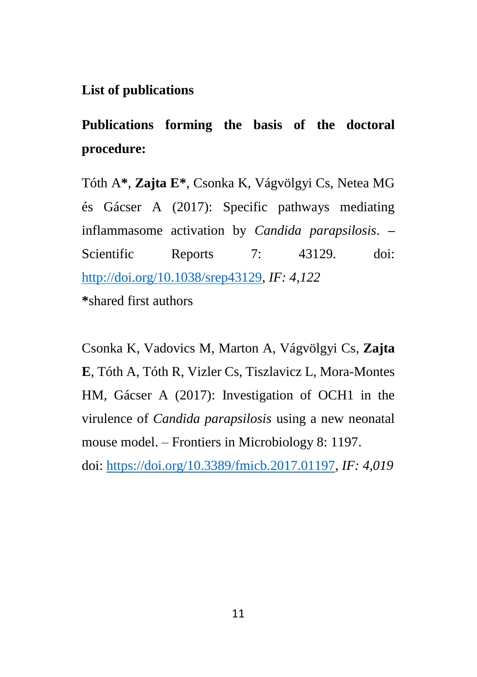#### **List of publications**

**Publications forming the basis of the doctoral procedure:**

Tóth A**\***, **Zajta E\***, Csonka K, Vágvölgyi Cs, Netea MG és Gácser A (2017): Specific pathways mediating inflammasome activation by *Candida parapsilosis*. **–** Scientific Reports 7: 43129. doi: [http://doi.org/10.1038/srep43129,](http://doi.org/10.1038/srep43129) *IF: 4,122* **\***shared first authors

Csonka K, Vadovics M, Marton A, Vágvölgyi Cs, **Zajta E**, Tóth A, Tóth R, Vizler Cs, Tiszlavicz L, Mora-Montes HM, Gácser A (2017): Investigation of OCH1 in the virulence of *Candida parapsilosis* using a new neonatal mouse model. – Frontiers in Microbiology 8: 1197. doi: [https://doi.org/10.3389/fmicb.2017.01197,](https://doi.org/10.3389/fmicb.2017.01197) *IF: 4,019*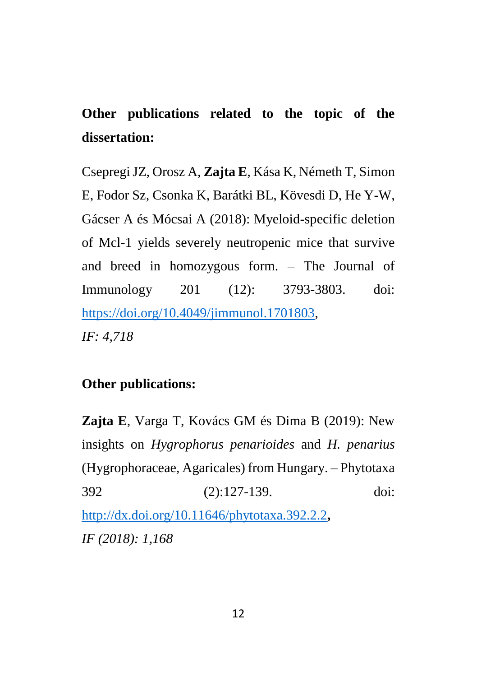# **Other publications related to the topic of the dissertation:**

Csepregi JZ, Orosz A, **Zajta E**, Kása K, Németh T, Simon E, Fodor Sz, Csonka K, Barátki BL, Kövesdi D, He Y-W, Gácser A és Mócsai A (2018): Myeloid-specific deletion of Mcl-1 yields severely neutropenic mice that survive and breed in homozygous form. – The Journal of Immunology 201 (12): 3793-3803. doi: [https://doi.org/10.4049/jimmunol.1701803,](https://doi.org/10.4049/jimmunol.1701803) *IF: 4,718*

### **Other publications:**

**Zajta E**, Varga T, Kovács GM és Dima B (2019): New insights on *Hygrophorus penarioides* and *H. penarius* (Hygrophoraceae, Agaricales) from Hungary. – Phytotaxa 392 (2):127-139. doi: <http://dx.doi.org/10.11646/phytotaxa.392.2.2>**,** *IF (2018): 1,168*